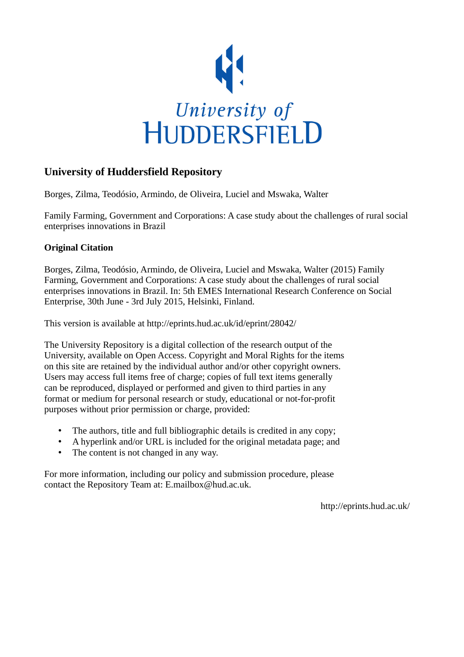

# **University of Huddersfield Repository**

Borges, Zilma, Teodósio, Armindo, de Oliveira, Luciel and Mswaka, Walter

Family Farming, Government and Corporations: A case study about the challenges of rural social enterprises innovations in Brazil

## **Original Citation**

Borges, Zilma, Teodósio, Armindo, de Oliveira, Luciel and Mswaka, Walter (2015) Family Farming, Government and Corporations: A case study about the challenges of rural social enterprises innovations in Brazil. In: 5th EMES International Research Conference on Social Enterprise, 30th June - 3rd July 2015, Helsinki, Finland.

This version is available at http://eprints.hud.ac.uk/id/eprint/28042/

The University Repository is a digital collection of the research output of the University, available on Open Access. Copyright and Moral Rights for the items on this site are retained by the individual author and/or other copyright owners. Users may access full items free of charge; copies of full text items generally can be reproduced, displayed or performed and given to third parties in any format or medium for personal research or study, educational or not-for-profit purposes without prior permission or charge, provided:

- The authors, title and full bibliographic details is credited in any copy;
- A hyperlink and/or URL is included for the original metadata page; and
- The content is not changed in any way.

For more information, including our policy and submission procedure, please contact the Repository Team at: E.mailbox@hud.ac.uk.

http://eprints.hud.ac.uk/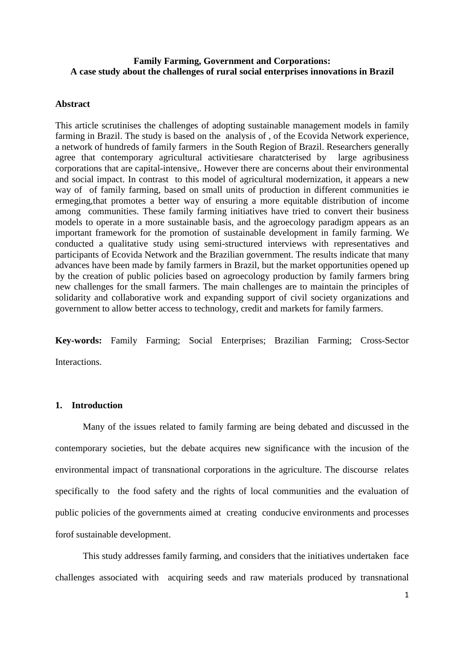## **Family Farming, Government and Corporations: A case study about the challenges of rural social enterprises innovations in Brazil**

#### **Abstract**

This article scrutinises the challenges of adopting sustainable management models in family farming in Brazil. The study is based on the analysis of , of the Ecovida Network experience, a network of hundreds of family farmers in the South Region of Brazil. Researchers generally agree that contemporary agricultural activitiesare charatcterised by large agribusiness corporations that are capital-intensive,. However there are concerns about their environmental and social impact. In contrast to this model of agricultural modernization, it appears a new way of of family farming, based on small units of production in different communities ie ermeging,that promotes a better way of ensuring a more equitable distribution of income among communities. These family farming initiatives have tried to convert their business models to operate in a more sustainable basis, and the agroecology paradigm appears as an important framework for the promotion of sustainable development in family farming. We conducted a qualitative study using semi-structured interviews with representatives and participants of Ecovida Network and the Brazilian government. The results indicate that many advances have been made by family farmers in Brazil, but the market opportunities opened up by the creation of public policies based on agroecology production by family farmers bring new challenges for the small farmers. The main challenges are to maintain the principles of solidarity and collaborative work and expanding support of civil society organizations and government to allow better access to technology, credit and markets for family farmers.

**Key-words:** Family Farming; Social Enterprises; Brazilian Farming; Cross-Sector **Interactions** 

### **1. Introduction**

Many of the issues related to family farming are being debated and discussed in the contemporary societies, but the debate acquires new significance with the incusion of the environmental impact of transnational corporations in the agriculture. The discourse relates specifically to the food safety and the rights of local communities and the evaluation of public policies of the governments aimed at creating conducive environments and processes forof sustainable development.

This study addresses family farming, and considers that the initiatives undertaken face challenges associated with acquiring seeds and raw materials produced by transnational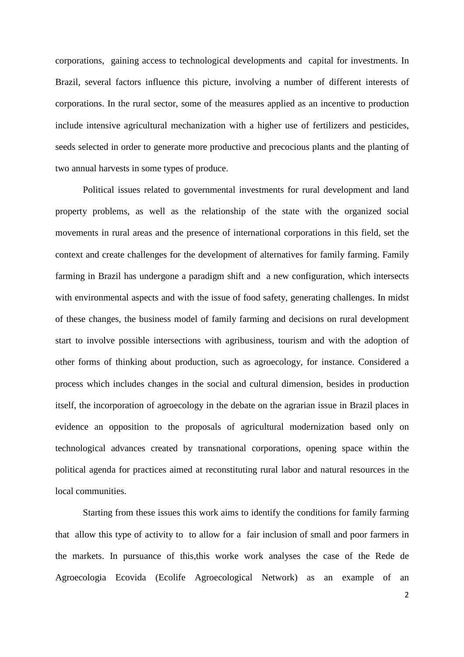corporations, gaining access to technological developments and capital for investments. In Brazil, several factors influence this picture, involving a number of different interests of corporations. In the rural sector, some of the measures applied as an incentive to production include intensive agricultural mechanization with a higher use of fertilizers and pesticides, seeds selected in order to generate more productive and precocious plants and the planting of two annual harvests in some types of produce.

Political issues related to governmental investments for rural development and land property problems, as well as the relationship of the state with the organized social movements in rural areas and the presence of international corporations in this field, set the context and create challenges for the development of alternatives for family farming. Family farming in Brazil has undergone a paradigm shift and a new configuration, which intersects with environmental aspects and with the issue of food safety, generating challenges. In midst of these changes, the business model of family farming and decisions on rural development start to involve possible intersections with agribusiness, tourism and with the adoption of other forms of thinking about production, such as agroecology, for instance. Considered a process which includes changes in the social and cultural dimension, besides in production itself, the incorporation of agroecology in the debate on the agrarian issue in Brazil places in evidence an opposition to the proposals of agricultural modernization based only on technological advances created by transnational corporations, opening space within the political agenda for practices aimed at reconstituting rural labor and natural resources in the local communities.

Starting from these issues this work aims to identify the conditions for family farming that allow this type of activity to to allow for a fair inclusion of small and poor farmers in the markets. In pursuance of this,this worke work analyses the case of the Rede de Agroecologia Ecovida (Ecolife Agroecological Network) as an example of an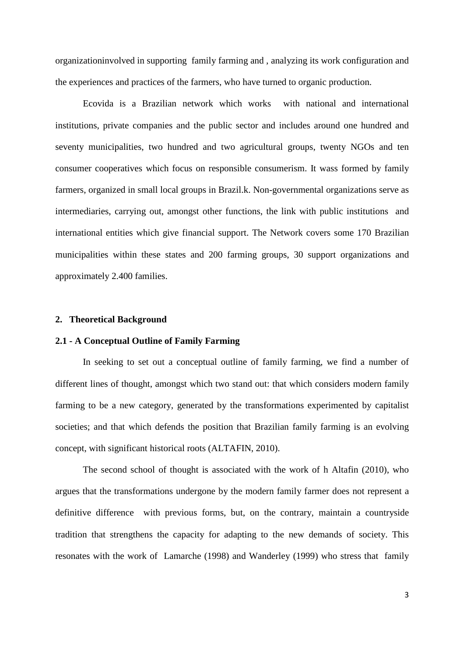organizationinvolved in supporting family farming and , analyzing its work configuration and the experiences and practices of the farmers, who have turned to organic production.

Ecovida is a Brazilian network which works with national and international institutions, private companies and the public sector and includes around one hundred and seventy municipalities, two hundred and two agricultural groups, twenty NGOs and ten consumer cooperatives which focus on responsible consumerism. It wass formed by family farmers, organized in small local groups in Brazil.k. Non-governmental organizations serve as intermediaries, carrying out, amongst other functions, the link with public institutions and international entities which give financial support. The Network covers some 170 Brazilian municipalities within these states and 200 farming groups, 30 support organizations and approximately 2.400 families.

#### **2. Theoretical Background**

## **2.1 - A Conceptual Outline of Family Farming**

In seeking to set out a conceptual outline of family farming, we find a number of different lines of thought, amongst which two stand out: that which considers modern family farming to be a new category, generated by the transformations experimented by capitalist societies; and that which defends the position that Brazilian family farming is an evolving concept, with significant historical roots (ALTAFIN, 2010).

The second school of thought is associated with the work of h Altafin (2010), who argues that the transformations undergone by the modern family farmer does not represent a definitive difference with previous forms, but, on the contrary, maintain a countryside tradition that strengthens the capacity for adapting to the new demands of society. This resonates with the work of Lamarche (1998) and Wanderley (1999) who stress that family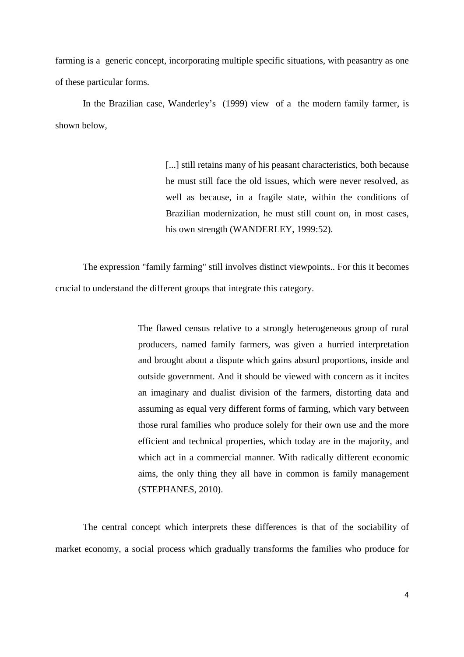farming is a generic concept, incorporating multiple specific situations, with peasantry as one of these particular forms.

In the Brazilian case, Wanderley's (1999) view of a the modern family farmer, is shown below,

> [...] still retains many of his peasant characteristics, both because he must still face the old issues, which were never resolved, as well as because, in a fragile state, within the conditions of Brazilian modernization, he must still count on, in most cases, his own strength (WANDERLEY, 1999:52).

The expression "family farming" still involves distinct viewpoints.. For this it becomes crucial to understand the different groups that integrate this category.

> The flawed census relative to a strongly heterogeneous group of rural producers, named family farmers, was given a hurried interpretation and brought about a dispute which gains absurd proportions, inside and outside government. And it should be viewed with concern as it incites an imaginary and dualist division of the farmers, distorting data and assuming as equal very different forms of farming, which vary between those rural families who produce solely for their own use and the more efficient and technical properties, which today are in the majority, and which act in a commercial manner. With radically different economic aims, the only thing they all have in common is family management (STEPHANES, 2010).

The central concept which interprets these differences is that of the sociability of market economy, a social process which gradually transforms the families who produce for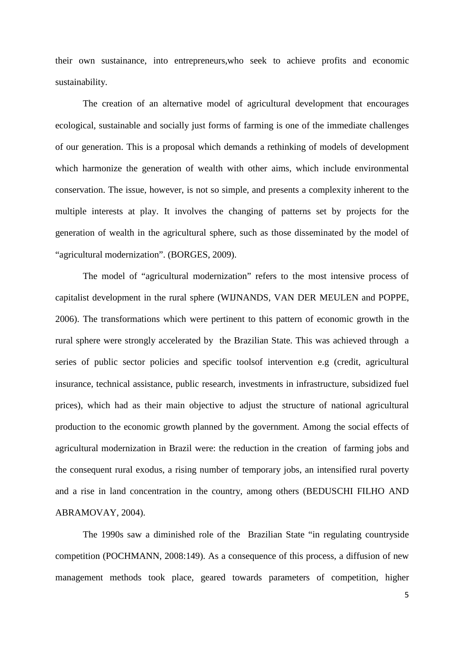their own sustainance, into entrepreneurs,who seek to achieve profits and economic sustainability.

The creation of an alternative model of agricultural development that encourages ecological, sustainable and socially just forms of farming is one of the immediate challenges of our generation. This is a proposal which demands a rethinking of models of development which harmonize the generation of wealth with other aims, which include environmental conservation. The issue, however, is not so simple, and presents a complexity inherent to the multiple interests at play. It involves the changing of patterns set by projects for the generation of wealth in the agricultural sphere, such as those disseminated by the model of "agricultural modernization". (BORGES, 2009).

The model of "agricultural modernization" refers to the most intensive process of capitalist development in the rural sphere (WIJNANDS, VAN DER MEULEN and POPPE, 2006). The transformations which were pertinent to this pattern of economic growth in the rural sphere were strongly accelerated by the Brazilian State. This was achieved through a series of public sector policies and specific toolsof intervention e.g (credit, agricultural insurance, technical assistance, public research, investments in infrastructure, subsidized fuel prices), which had as their main objective to adjust the structure of national agricultural production to the economic growth planned by the government. Among the social effects of agricultural modernization in Brazil were: the reduction in the creation of farming jobs and the consequent rural exodus, a rising number of temporary jobs, an intensified rural poverty and a rise in land concentration in the country, among others (BEDUSCHI FILHO AND ABRAMOVAY, 2004).

The 1990s saw a diminished role of the Brazilian State "in regulating countryside competition (POCHMANN, 2008:149). As a consequence of this process, a diffusion of new management methods took place, geared towards parameters of competition, higher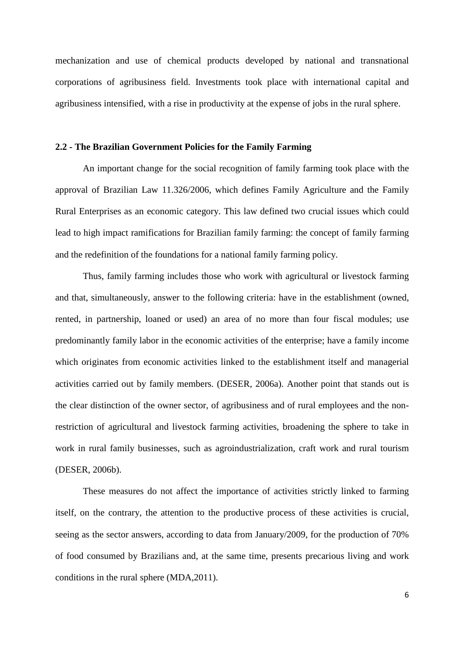mechanization and use of chemical products developed by national and transnational corporations of agribusiness field. Investments took place with international capital and agribusiness intensified, with a rise in productivity at the expense of jobs in the rural sphere.

#### **2.2 - The Brazilian Government Policies for the Family Farming**

An important change for the social recognition of family farming took place with the approval of Brazilian Law 11.326/2006, which defines Family Agriculture and the Family Rural Enterprises as an economic category. This law defined two crucial issues which could lead to high impact ramifications for Brazilian family farming: the concept of family farming and the redefinition of the foundations for a national family farming policy.

Thus, family farming includes those who work with agricultural or livestock farming and that, simultaneously, answer to the following criteria: have in the establishment (owned, rented, in partnership, loaned or used) an area of no more than four fiscal modules; use predominantly family labor in the economic activities of the enterprise; have a family income which originates from economic activities linked to the establishment itself and managerial activities carried out by family members. (DESER, 2006a). Another point that stands out is the clear distinction of the owner sector, of agribusiness and of rural employees and the nonrestriction of agricultural and livestock farming activities, broadening the sphere to take in work in rural family businesses, such as agroindustrialization, craft work and rural tourism (DESER, 2006b).

 These measures do not affect the importance of activities strictly linked to farming itself, on the contrary, the attention to the productive process of these activities is crucial, seeing as the sector answers, according to data from January/2009, for the production of 70% of food consumed by Brazilians and, at the same time, presents precarious living and work conditions in the rural sphere (MDA,2011).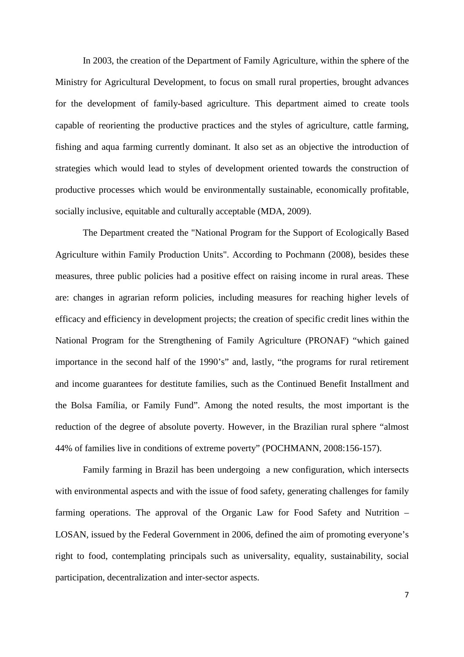In 2003, the creation of the Department of Family Agriculture, within the sphere of the Ministry for Agricultural Development, to focus on small rural properties, brought advances for the development of family-based agriculture. This department aimed to create tools capable of reorienting the productive practices and the styles of agriculture, cattle farming, fishing and aqua farming currently dominant. It also set as an objective the introduction of strategies which would lead to styles of development oriented towards the construction of productive processes which would be environmentally sustainable, economically profitable, socially inclusive, equitable and culturally acceptable (MDA, 2009).

The Department created the "National Program for the Support of Ecologically Based Agriculture within Family Production Units". According to Pochmann (2008), besides these measures, three public policies had a positive effect on raising income in rural areas. These are: changes in agrarian reform policies, including measures for reaching higher levels of efficacy and efficiency in development projects; the creation of specific credit lines within the National Program for the Strengthening of Family Agriculture (PRONAF) "which gained importance in the second half of the 1990's" and, lastly, "the programs for rural retirement and income guarantees for destitute families, such as the Continued Benefit Installment and the Bolsa Família, or Family Fund". Among the noted results, the most important is the reduction of the degree of absolute poverty. However, in the Brazilian rural sphere "almost 44% of families live in conditions of extreme poverty" (POCHMANN, 2008:156-157).

Family farming in Brazil has been undergoing a new configuration, which intersects with environmental aspects and with the issue of food safety, generating challenges for family farming operations. The approval of the Organic Law for Food Safety and Nutrition – LOSAN, issued by the Federal Government in 2006, defined the aim of promoting everyone's right to food, contemplating principals such as universality, equality, sustainability, social participation, decentralization and inter-sector aspects.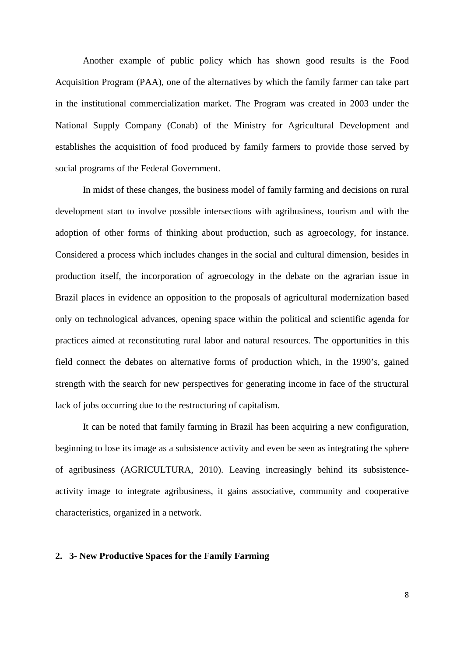Another example of public policy which has shown good results is the Food Acquisition Program (PAA), one of the alternatives by which the family farmer can take part in the institutional commercialization market. The Program was created in 2003 under the National Supply Company (Conab) of the Ministry for Agricultural Development and establishes the acquisition of food produced by family farmers to provide those served by social programs of the Federal Government.

In midst of these changes, the business model of family farming and decisions on rural development start to involve possible intersections with agribusiness, tourism and with the adoption of other forms of thinking about production, such as agroecology, for instance. Considered a process which includes changes in the social and cultural dimension, besides in production itself, the incorporation of agroecology in the debate on the agrarian issue in Brazil places in evidence an opposition to the proposals of agricultural modernization based only on technological advances, opening space within the political and scientific agenda for practices aimed at reconstituting rural labor and natural resources. The opportunities in this field connect the debates on alternative forms of production which, in the 1990's, gained strength with the search for new perspectives for generating income in face of the structural lack of jobs occurring due to the restructuring of capitalism.

It can be noted that family farming in Brazil has been acquiring a new configuration, beginning to lose its image as a subsistence activity and even be seen as integrating the sphere of agribusiness (AGRICULTURA, 2010). Leaving increasingly behind its subsistenceactivity image to integrate agribusiness, it gains associative, community and cooperative characteristics, organized in a network.

## **2. 3- New Productive Spaces for the Family Farming**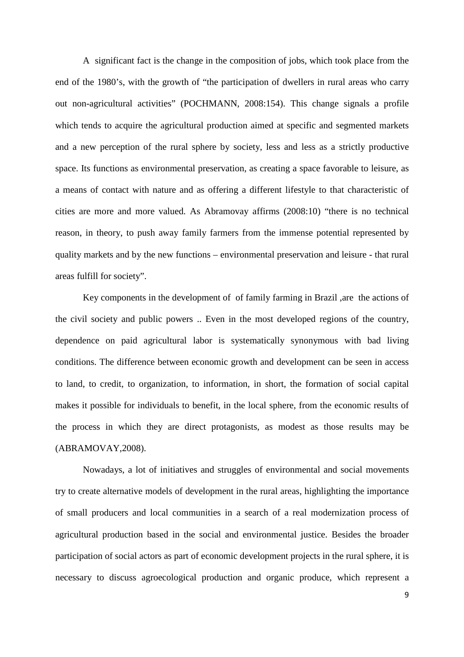A significant fact is the change in the composition of jobs, which took place from the end of the 1980's, with the growth of "the participation of dwellers in rural areas who carry out non-agricultural activities" (POCHMANN, 2008:154). This change signals a profile which tends to acquire the agricultural production aimed at specific and segmented markets and a new perception of the rural sphere by society, less and less as a strictly productive space. Its functions as environmental preservation, as creating a space favorable to leisure, as a means of contact with nature and as offering a different lifestyle to that characteristic of cities are more and more valued. As Abramovay affirms (2008:10) "there is no technical reason, in theory, to push away family farmers from the immense potential represented by quality markets and by the new functions – environmental preservation and leisure - that rural areas fulfill for society".

Key components in the development of of family farming in Brazil ,are the actions of the civil society and public powers .. Even in the most developed regions of the country, dependence on paid agricultural labor is systematically synonymous with bad living conditions. The difference between economic growth and development can be seen in access to land, to credit, to organization, to information, in short, the formation of social capital makes it possible for individuals to benefit, in the local sphere, from the economic results of the process in which they are direct protagonists, as modest as those results may be (ABRAMOVAY,2008).

Nowadays, a lot of initiatives and struggles of environmental and social movements try to create alternative models of development in the rural areas, highlighting the importance of small producers and local communities in a search of a real modernization process of agricultural production based in the social and environmental justice. Besides the broader participation of social actors as part of economic development projects in the rural sphere, it is necessary to discuss agroecological production and organic produce, which represent a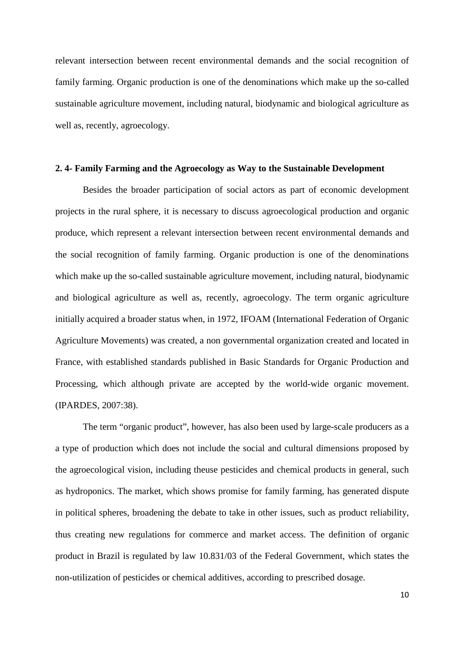relevant intersection between recent environmental demands and the social recognition of family farming. Organic production is one of the denominations which make up the so-called sustainable agriculture movement, including natural, biodynamic and biological agriculture as well as, recently, agroecology.

#### **2. 4- Family Farming and the Agroecology as Way to the Sustainable Development**

Besides the broader participation of social actors as part of economic development projects in the rural sphere, it is necessary to discuss agroecological production and organic produce, which represent a relevant intersection between recent environmental demands and the social recognition of family farming. Organic production is one of the denominations which make up the so-called sustainable agriculture movement, including natural, biodynamic and biological agriculture as well as, recently, agroecology. The term organic agriculture initially acquired a broader status when, in 1972, IFOAM (International Federation of Organic Agriculture Movements) was created, a non governmental organization created and located in France, with established standards published in Basic Standards for Organic Production and Processing, which although private are accepted by the world-wide organic movement. (IPARDES, 2007:38).

The term "organic product", however, has also been used by large-scale producers as a a type of production which does not include the social and cultural dimensions proposed by the agroecological vision, including theuse pesticides and chemical products in general, such as hydroponics. The market, which shows promise for family farming, has generated dispute in political spheres, broadening the debate to take in other issues, such as product reliability, thus creating new regulations for commerce and market access. The definition of organic product in Brazil is regulated by law 10.831/03 of the Federal Government, which states the non-utilization of pesticides or chemical additives, according to prescribed dosage.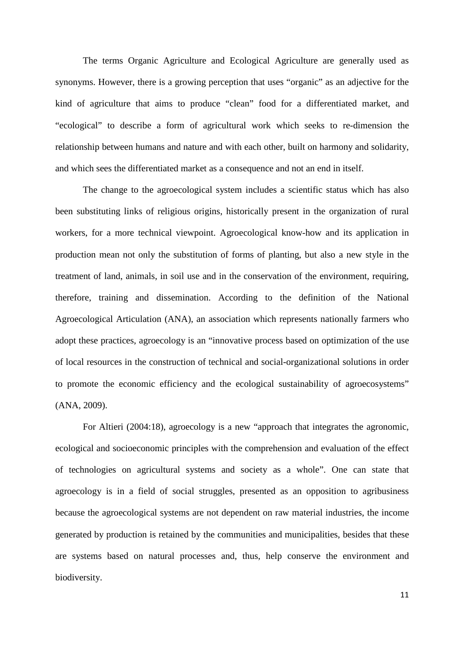The terms Organic Agriculture and Ecological Agriculture are generally used as synonyms. However, there is a growing perception that uses "organic" as an adjective for the kind of agriculture that aims to produce "clean" food for a differentiated market, and "ecological" to describe a form of agricultural work which seeks to re-dimension the relationship between humans and nature and with each other, built on harmony and solidarity, and which sees the differentiated market as a consequence and not an end in itself.

The change to the agroecological system includes a scientific status which has also been substituting links of religious origins, historically present in the organization of rural workers, for a more technical viewpoint. Agroecological know-how and its application in production mean not only the substitution of forms of planting, but also a new style in the treatment of land, animals, in soil use and in the conservation of the environment, requiring, therefore, training and dissemination. According to the definition of the National Agroecological Articulation (ANA), an association which represents nationally farmers who adopt these practices, agroecology is an "innovative process based on optimization of the use of local resources in the construction of technical and social-organizational solutions in order to promote the economic efficiency and the ecological sustainability of agroecosystems" (ANA, 2009).

For Altieri (2004:18), agroecology is a new "approach that integrates the agronomic, ecological and socioeconomic principles with the comprehension and evaluation of the effect of technologies on agricultural systems and society as a whole". One can state that agroecology is in a field of social struggles, presented as an opposition to agribusiness because the agroecological systems are not dependent on raw material industries, the income generated by production is retained by the communities and municipalities, besides that these are systems based on natural processes and, thus, help conserve the environment and biodiversity.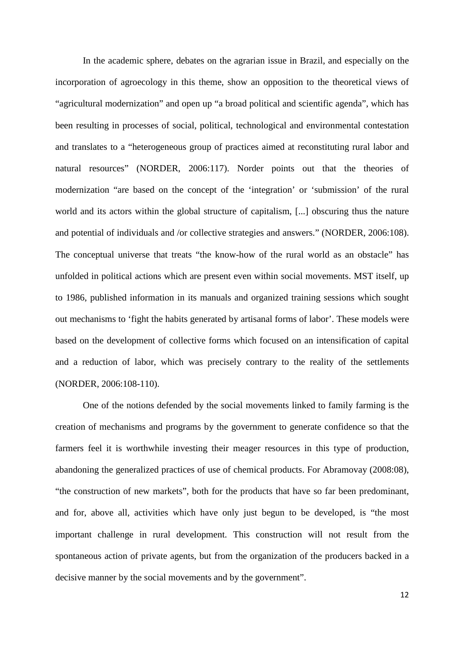In the academic sphere, debates on the agrarian issue in Brazil, and especially on the incorporation of agroecology in this theme, show an opposition to the theoretical views of "agricultural modernization" and open up "a broad political and scientific agenda", which has been resulting in processes of social, political, technological and environmental contestation and translates to a "heterogeneous group of practices aimed at reconstituting rural labor and natural resources" (NORDER, 2006:117). Norder points out that the theories of modernization "are based on the concept of the 'integration' or 'submission' of the rural world and its actors within the global structure of capitalism, [...] obscuring thus the nature and potential of individuals and /or collective strategies and answers." (NORDER, 2006:108). The conceptual universe that treats "the know-how of the rural world as an obstacle" has unfolded in political actions which are present even within social movements. MST itself, up to 1986, published information in its manuals and organized training sessions which sought out mechanisms to 'fight the habits generated by artisanal forms of labor'. These models were based on the development of collective forms which focused on an intensification of capital and a reduction of labor, which was precisely contrary to the reality of the settlements (NORDER, 2006:108-110).

One of the notions defended by the social movements linked to family farming is the creation of mechanisms and programs by the government to generate confidence so that the farmers feel it is worthwhile investing their meager resources in this type of production, abandoning the generalized practices of use of chemical products. For Abramovay (2008:08), "the construction of new markets", both for the products that have so far been predominant, and for, above all, activities which have only just begun to be developed, is "the most important challenge in rural development. This construction will not result from the spontaneous action of private agents, but from the organization of the producers backed in a decisive manner by the social movements and by the government".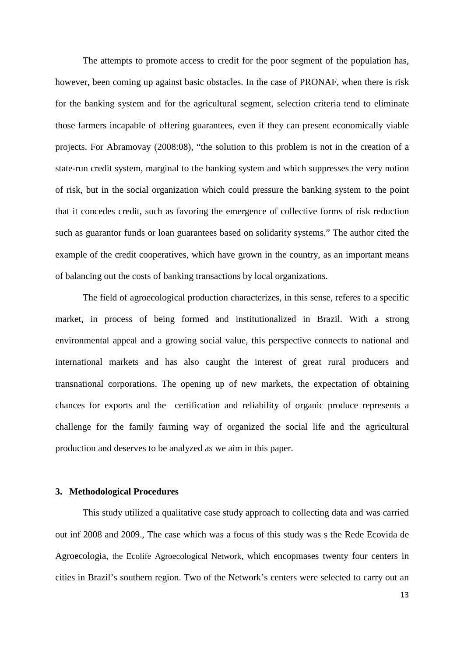The attempts to promote access to credit for the poor segment of the population has, however, been coming up against basic obstacles. In the case of PRONAF, when there is risk for the banking system and for the agricultural segment, selection criteria tend to eliminate those farmers incapable of offering guarantees, even if they can present economically viable projects. For Abramovay (2008:08), "the solution to this problem is not in the creation of a state-run credit system, marginal to the banking system and which suppresses the very notion of risk, but in the social organization which could pressure the banking system to the point that it concedes credit, such as favoring the emergence of collective forms of risk reduction such as guarantor funds or loan guarantees based on solidarity systems." The author cited the example of the credit cooperatives, which have grown in the country, as an important means of balancing out the costs of banking transactions by local organizations.

The field of agroecological production characterizes, in this sense, referes to a specific market, in process of being formed and institutionalized in Brazil. With a strong environmental appeal and a growing social value, this perspective connects to national and international markets and has also caught the interest of great rural producers and transnational corporations. The opening up of new markets, the expectation of obtaining chances for exports and the certification and reliability of organic produce represents a challenge for the family farming way of organized the social life and the agricultural production and deserves to be analyzed as we aim in this paper.

## **3. Methodological Procedures**

This study utilized a qualitative case study approach to collecting data and was carried out inf 2008 and 2009., The case which was a focus of this study was s the Rede Ecovida de Agroecologia, the Ecolife Agroecological Network, which encopmases twenty four centers in cities in Brazil's southern region. Two of the Network's centers were selected to carry out an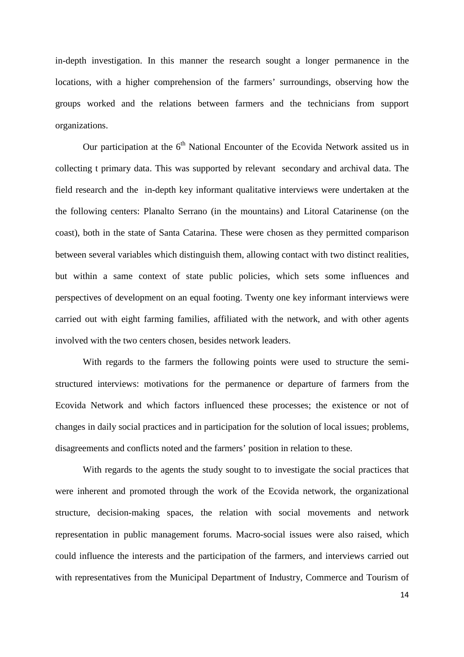in-depth investigation. In this manner the research sought a longer permanence in the locations, with a higher comprehension of the farmers' surroundings, observing how the groups worked and the relations between farmers and the technicians from support organizations.

Our participation at the  $6<sup>th</sup>$  National Encounter of the Ecovida Network assited us in collecting t primary data. This was supported by relevant secondary and archival data. The field research and the in-depth key informant qualitative interviews were undertaken at the the following centers: Planalto Serrano (in the mountains) and Litoral Catarinense (on the coast), both in the state of Santa Catarina. These were chosen as they permitted comparison between several variables which distinguish them, allowing contact with two distinct realities, but within a same context of state public policies, which sets some influences and perspectives of development on an equal footing. Twenty one key informant interviews were carried out with eight farming families, affiliated with the network, and with other agents involved with the two centers chosen, besides network leaders.

With regards to the farmers the following points were used to structure the semistructured interviews: motivations for the permanence or departure of farmers from the Ecovida Network and which factors influenced these processes; the existence or not of changes in daily social practices and in participation for the solution of local issues; problems, disagreements and conflicts noted and the farmers' position in relation to these.

With regards to the agents the study sought to to investigate the social practices that were inherent and promoted through the work of the Ecovida network, the organizational structure, decision-making spaces, the relation with social movements and network representation in public management forums. Macro-social issues were also raised, which could influence the interests and the participation of the farmers, and interviews carried out with representatives from the Municipal Department of Industry, Commerce and Tourism of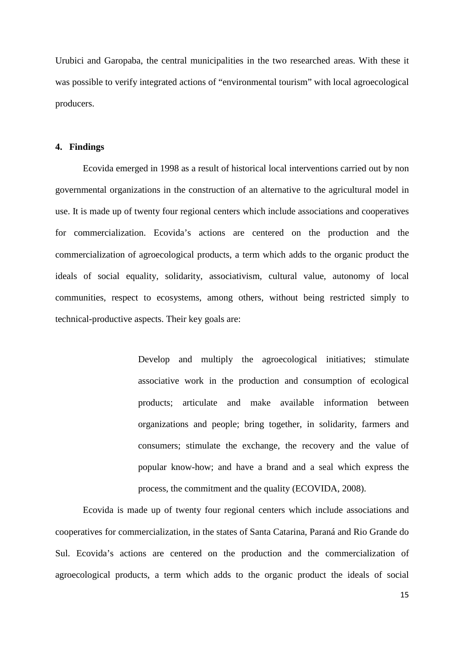Urubici and Garopaba, the central municipalities in the two researched areas. With these it was possible to verify integrated actions of "environmental tourism" with local agroecological producers.

#### **4. Findings**

Ecovida emerged in 1998 as a result of historical local interventions carried out by non governmental organizations in the construction of an alternative to the agricultural model in use. It is made up of twenty four regional centers which include associations and cooperatives for commercialization. Ecovida's actions are centered on the production and the commercialization of agroecological products, a term which adds to the organic product the ideals of social equality, solidarity, associativism, cultural value, autonomy of local communities, respect to ecosystems, among others, without being restricted simply to technical-productive aspects. Their key goals are:

> Develop and multiply the agroecological initiatives; stimulate associative work in the production and consumption of ecological products; articulate and make available information between organizations and people; bring together, in solidarity, farmers and consumers; stimulate the exchange, the recovery and the value of popular know-how; and have a brand and a seal which express the process, the commitment and the quality (ECOVIDA, 2008).

Ecovida is made up of twenty four regional centers which include associations and cooperatives for commercialization, in the states of Santa Catarina, Paraná and Rio Grande do Sul. Ecovida's actions are centered on the production and the commercialization of agroecological products, a term which adds to the organic product the ideals of social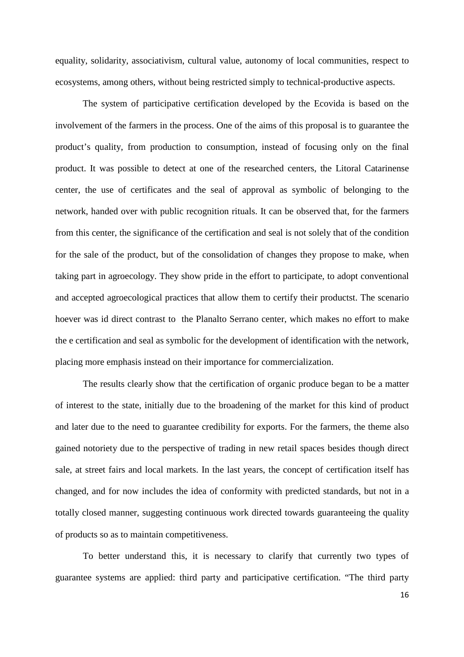equality, solidarity, associativism, cultural value, autonomy of local communities, respect to ecosystems, among others, without being restricted simply to technical-productive aspects.

The system of participative certification developed by the Ecovida is based on the involvement of the farmers in the process. One of the aims of this proposal is to guarantee the product's quality, from production to consumption, instead of focusing only on the final product. It was possible to detect at one of the researched centers, the Litoral Catarinense center, the use of certificates and the seal of approval as symbolic of belonging to the network, handed over with public recognition rituals. It can be observed that, for the farmers from this center, the significance of the certification and seal is not solely that of the condition for the sale of the product, but of the consolidation of changes they propose to make, when taking part in agroecology. They show pride in the effort to participate, to adopt conventional and accepted agroecological practices that allow them to certify their productst. The scenario hoever was id direct contrast to the Planalto Serrano center, which makes no effort to make the e certification and seal as symbolic for the development of identification with the network, placing more emphasis instead on their importance for commercialization.

The results clearly show that the certification of organic produce began to be a matter of interest to the state, initially due to the broadening of the market for this kind of product and later due to the need to guarantee credibility for exports. For the farmers, the theme also gained notoriety due to the perspective of trading in new retail spaces besides though direct sale, at street fairs and local markets. In the last years, the concept of certification itself has changed, and for now includes the idea of conformity with predicted standards, but not in a totally closed manner, suggesting continuous work directed towards guaranteeing the quality of products so as to maintain competitiveness.

To better understand this, it is necessary to clarify that currently two types of guarantee systems are applied: third party and participative certification. "The third party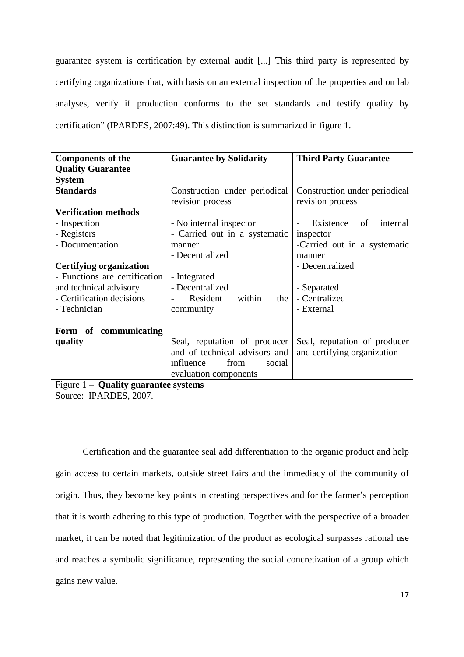guarantee system is certification by external audit [...] This third party is represented by certifying organizations that, with basis on an external inspection of the properties and on lab analyses, verify if production conforms to the set standards and testify quality by certification" (IPARDES, 2007:49). This distinction is summarized in figure 1.

| <b>Components of the</b>       | <b>Guarantee by Solidarity</b> | <b>Third Party Guarantee</b>  |
|--------------------------------|--------------------------------|-------------------------------|
| <b>Quality Guarantee</b>       |                                |                               |
| <b>System</b>                  |                                |                               |
| <b>Standards</b>               | Construction under periodical  | Construction under periodical |
|                                | revision process               | revision process              |
| <b>Verification methods</b>    |                                |                               |
| - Inspection                   | - No internal inspector        | Existence<br>internal<br>of   |
| - Registers                    | - Carried out in a systematic  | inspector                     |
| - Documentation                | manner                         | -Carried out in a systematic  |
|                                | - Decentralized                | manner                        |
| <b>Certifying organization</b> |                                | - Decentralized               |
| - Functions are certification  | - Integrated                   |                               |
| and technical advisory         | - Decentralized                | - Separated                   |
| - Certification decisions      | Resident<br>within<br>the      | - Centralized                 |
| - Technician                   | community                      | - External                    |
|                                |                                |                               |
| Form of communicating          |                                |                               |
| quality                        | Seal, reputation of producer   | Seal, reputation of producer  |
|                                | and of technical advisors and  | and certifying organization   |
|                                | influence<br>from<br>social    |                               |
|                                | evaluation components          |                               |

Figure 1 – **Quality guarantee systems** Source: IPARDES, 2007.

Certification and the guarantee seal add differentiation to the organic product and help gain access to certain markets, outside street fairs and the immediacy of the community of origin. Thus, they become key points in creating perspectives and for the farmer's perception that it is worth adhering to this type of production. Together with the perspective of a broader market, it can be noted that legitimization of the product as ecological surpasses rational use and reaches a symbolic significance, representing the social concretization of a group which gains new value.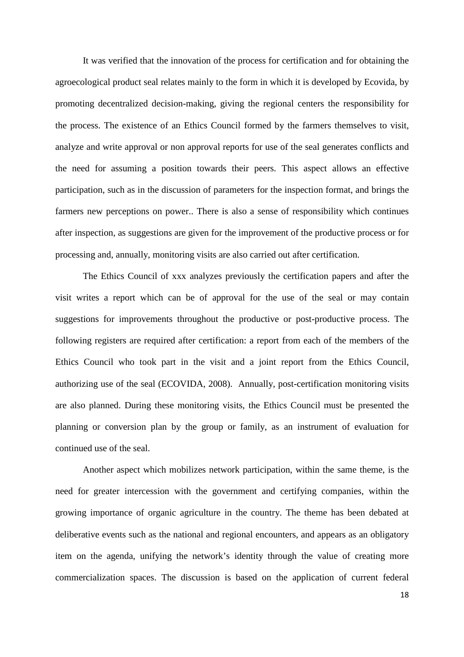It was verified that the innovation of the process for certification and for obtaining the agroecological product seal relates mainly to the form in which it is developed by Ecovida, by promoting decentralized decision-making, giving the regional centers the responsibility for the process. The existence of an Ethics Council formed by the farmers themselves to visit, analyze and write approval or non approval reports for use of the seal generates conflicts and the need for assuming a position towards their peers. This aspect allows an effective participation, such as in the discussion of parameters for the inspection format, and brings the farmers new perceptions on power.. There is also a sense of responsibility which continues after inspection, as suggestions are given for the improvement of the productive process or for processing and, annually, monitoring visits are also carried out after certification.

The Ethics Council of xxx analyzes previously the certification papers and after the visit writes a report which can be of approval for the use of the seal or may contain suggestions for improvements throughout the productive or post-productive process. The following registers are required after certification: a report from each of the members of the Ethics Council who took part in the visit and a joint report from the Ethics Council, authorizing use of the seal (ECOVIDA, 2008). Annually, post-certification monitoring visits are also planned. During these monitoring visits, the Ethics Council must be presented the planning or conversion plan by the group or family, as an instrument of evaluation for continued use of the seal.

Another aspect which mobilizes network participation, within the same theme, is the need for greater intercession with the government and certifying companies, within the growing importance of organic agriculture in the country. The theme has been debated at deliberative events such as the national and regional encounters, and appears as an obligatory item on the agenda, unifying the network's identity through the value of creating more commercialization spaces. The discussion is based on the application of current federal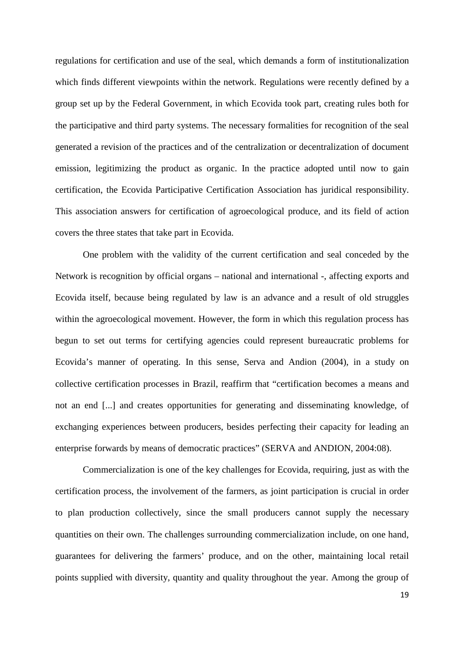regulations for certification and use of the seal, which demands a form of institutionalization which finds different viewpoints within the network. Regulations were recently defined by a group set up by the Federal Government, in which Ecovida took part, creating rules both for the participative and third party systems. The necessary formalities for recognition of the seal generated a revision of the practices and of the centralization or decentralization of document emission, legitimizing the product as organic. In the practice adopted until now to gain certification, the Ecovida Participative Certification Association has juridical responsibility. This association answers for certification of agroecological produce, and its field of action covers the three states that take part in Ecovida.

One problem with the validity of the current certification and seal conceded by the Network is recognition by official organs – national and international -, affecting exports and Ecovida itself, because being regulated by law is an advance and a result of old struggles within the agroecological movement. However, the form in which this regulation process has begun to set out terms for certifying agencies could represent bureaucratic problems for Ecovida's manner of operating. In this sense, Serva and Andion (2004), in a study on collective certification processes in Brazil, reaffirm that "certification becomes a means and not an end [...] and creates opportunities for generating and disseminating knowledge, of exchanging experiences between producers, besides perfecting their capacity for leading an enterprise forwards by means of democratic practices" (SERVA and ANDION, 2004:08).

Commercialization is one of the key challenges for Ecovida, requiring, just as with the certification process, the involvement of the farmers, as joint participation is crucial in order to plan production collectively, since the small producers cannot supply the necessary quantities on their own. The challenges surrounding commercialization include, on one hand, guarantees for delivering the farmers' produce, and on the other, maintaining local retail points supplied with diversity, quantity and quality throughout the year. Among the group of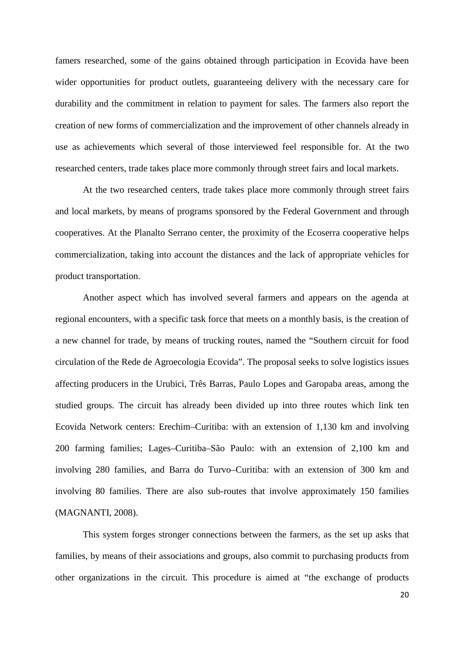famers researched, some of the gains obtained through participation in Ecovida have been wider opportunities for product outlets, guaranteeing delivery with the necessary care for durability and the commitment in relation to payment for sales. The farmers also report the creation of new forms of commercialization and the improvement of other channels already in use as achievements which several of those interviewed feel responsible for. At the two researched centers, trade takes place more commonly through street fairs and local markets.

At the two researched centers, trade takes place more commonly through street fairs and local markets, by means of programs sponsored by the Federal Government and through cooperatives. At the Planalto Serrano center, the proximity of the Ecoserra cooperative helps commercialization, taking into account the distances and the lack of appropriate vehicles for product transportation.

Another aspect which has involved several farmers and appears on the agenda at regional encounters, with a specific task force that meets on a monthly basis, is the creation of a new channel for trade, by means of trucking routes, named the "Southern circuit for food circulation of the Rede de Agroecologia Ecovida". The proposal seeks to solve logistics issues affecting producers in the Urubici, Três Barras, Paulo Lopes and Garopaba areas, among the studied groups. The circuit has already been divided up into three routes which link ten Ecovida Network centers: Erechim–Curitiba: with an extension of 1,130 km and involving 200 farming families; Lages–Curitiba–São Paulo: with an extension of 2,100 km and involving 280 families, and Barra do Turvo–Curitiba: with an extension of 300 km and involving 80 families. There are also sub-routes that involve approximately 150 families (MAGNANTI, 2008).

This system forges stronger connections between the farmers, as the set up asks that families, by means of their associations and groups, also commit to purchasing products from other organizations in the circuit. This procedure is aimed at "the exchange of products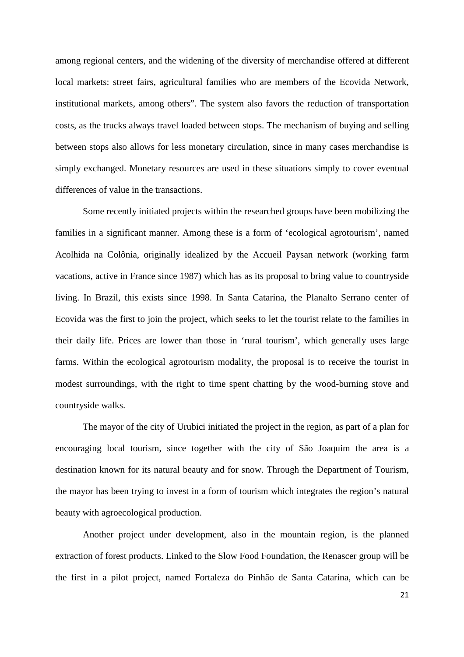among regional centers, and the widening of the diversity of merchandise offered at different local markets: street fairs, agricultural families who are members of the Ecovida Network, institutional markets, among others". The system also favors the reduction of transportation costs, as the trucks always travel loaded between stops. The mechanism of buying and selling between stops also allows for less monetary circulation, since in many cases merchandise is simply exchanged. Monetary resources are used in these situations simply to cover eventual differences of value in the transactions.

Some recently initiated projects within the researched groups have been mobilizing the families in a significant manner. Among these is a form of 'ecological agrotourism', named Acolhida na Colônia, originally idealized by the Accueil Paysan network (working farm vacations, active in France since 1987) which has as its proposal to bring value to countryside living. In Brazil, this exists since 1998. In Santa Catarina, the Planalto Serrano center of Ecovida was the first to join the project, which seeks to let the tourist relate to the families in their daily life. Prices are lower than those in 'rural tourism', which generally uses large farms. Within the ecological agrotourism modality, the proposal is to receive the tourist in modest surroundings, with the right to time spent chatting by the wood-burning stove and countryside walks.

The mayor of the city of Urubici initiated the project in the region, as part of a plan for encouraging local tourism, since together with the city of São Joaquim the area is a destination known for its natural beauty and for snow. Through the Department of Tourism, the mayor has been trying to invest in a form of tourism which integrates the region's natural beauty with agroecological production.

Another project under development, also in the mountain region, is the planned extraction of forest products. Linked to the Slow Food Foundation, the Renascer group will be the first in a pilot project, named Fortaleza do Pinhão de Santa Catarina, which can be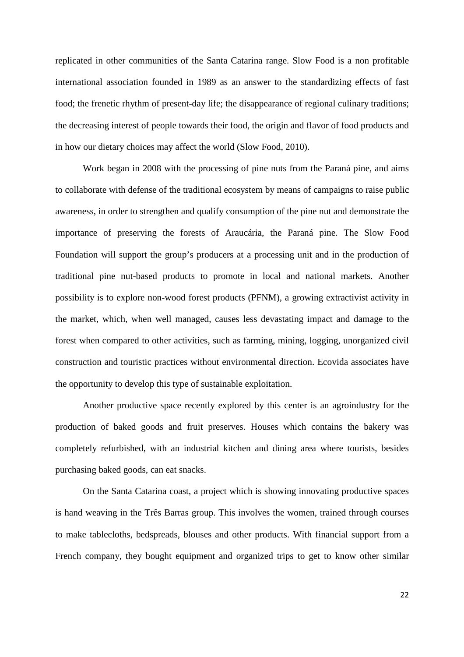replicated in other communities of the Santa Catarina range. Slow Food is a non profitable international association founded in 1989 as an answer to the standardizing effects of fast food; the frenetic rhythm of present-day life; the disappearance of regional culinary traditions; the decreasing interest of people towards their food, the origin and flavor of food products and in how our dietary choices may affect the world (Slow Food, 2010).

Work began in 2008 with the processing of pine nuts from the Paraná pine, and aims to collaborate with defense of the traditional ecosystem by means of campaigns to raise public awareness, in order to strengthen and qualify consumption of the pine nut and demonstrate the importance of preserving the forests of Araucária, the Paraná pine. The Slow Food Foundation will support the group's producers at a processing unit and in the production of traditional pine nut-based products to promote in local and national markets. Another possibility is to explore non-wood forest products (PFNM), a growing extractivist activity in the market, which, when well managed, causes less devastating impact and damage to the forest when compared to other activities, such as farming, mining, logging, unorganized civil construction and touristic practices without environmental direction. Ecovida associates have the opportunity to develop this type of sustainable exploitation.

Another productive space recently explored by this center is an agroindustry for the production of baked goods and fruit preserves. Houses which contains the bakery was completely refurbished, with an industrial kitchen and dining area where tourists, besides purchasing baked goods, can eat snacks.

On the Santa Catarina coast, a project which is showing innovating productive spaces is hand weaving in the Três Barras group. This involves the women, trained through courses to make tablecloths, bedspreads, blouses and other products. With financial support from a French company, they bought equipment and organized trips to get to know other similar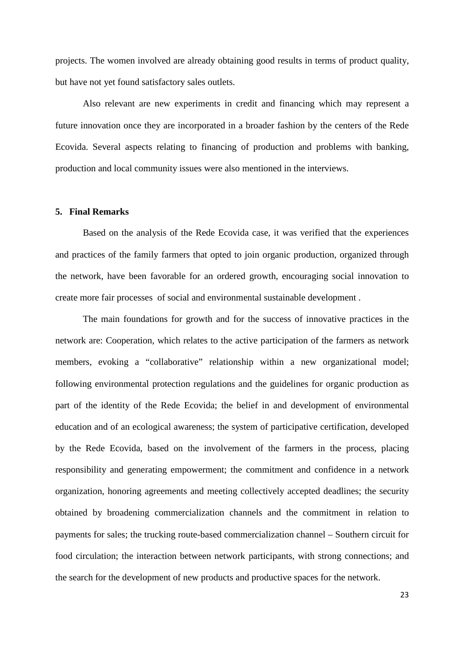projects. The women involved are already obtaining good results in terms of product quality, but have not yet found satisfactory sales outlets.

Also relevant are new experiments in credit and financing which may represent a future innovation once they are incorporated in a broader fashion by the centers of the Rede Ecovida. Several aspects relating to financing of production and problems with banking, production and local community issues were also mentioned in the interviews.

## **5. Final Remarks**

Based on the analysis of the Rede Ecovida case, it was verified that the experiences and practices of the family farmers that opted to join organic production, organized through the network, have been favorable for an ordered growth, encouraging social innovation to create more fair processes of social and environmental sustainable development .

The main foundations for growth and for the success of innovative practices in the network are: Cooperation, which relates to the active participation of the farmers as network members, evoking a "collaborative" relationship within a new organizational model; following environmental protection regulations and the guidelines for organic production as part of the identity of the Rede Ecovida; the belief in and development of environmental education and of an ecological awareness; the system of participative certification, developed by the Rede Ecovida, based on the involvement of the farmers in the process, placing responsibility and generating empowerment; the commitment and confidence in a network organization, honoring agreements and meeting collectively accepted deadlines; the security obtained by broadening commercialization channels and the commitment in relation to payments for sales; the trucking route-based commercialization channel – Southern circuit for food circulation; the interaction between network participants, with strong connections; and the search for the development of new products and productive spaces for the network.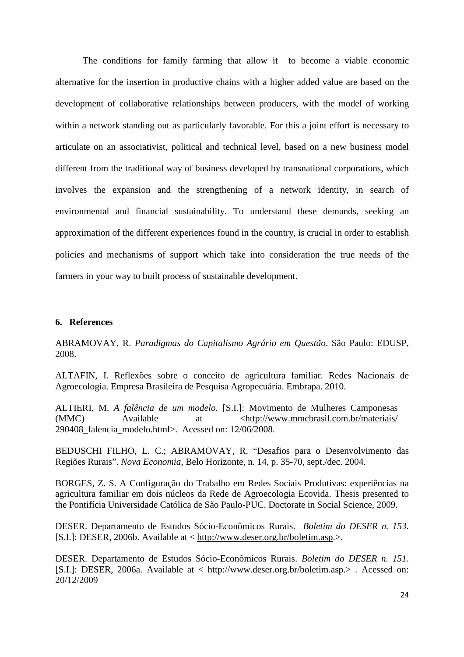The conditions for family farming that allow it to become a viable economic alternative for the insertion in productive chains with a higher added value are based on the development of collaborative relationships between producers, with the model of working within a network standing out as particularly favorable. For this a joint effort is necessary to articulate on an associativist, political and technical level, based on a new business model different from the traditional way of business developed by transnational corporations, which involves the expansion and the strengthening of a network identity, in search of environmental and financial sustainability. To understand these demands, seeking an approximation of the different experiences found in the country, is crucial in order to establish policies and mechanisms of support which take into consideration the true needs of the farmers in your way to built process of sustainable development.

#### **6. References**

ABRAMOVAY, R. *Paradigmas do Capitalismo Agrário em Questão*. São Paulo: EDUSP, 2008.

ALTAFIN, I. Reflexões sobre o conceito de agricultura familiar. Redes Nacionais de Agroecologia. Empresa Brasileira de Pesquisa Agropecuária. Embrapa. 2010.

ALTIERI, M. *A falência de um modelo.* [S.I.]: Movimento de Mulheres Camponesas (MMC) Available at  $\langle \text{http://www.mmcbrasil.com.br/materiais/}$ 290408\_falencia\_modelo.html>. Acessed on: 12/06/2008.

BEDUSCHI FILHO, L. C.; ABRAMOVAY, R. "Desafios para o Desenvolvimento das Regiões Rurais". *Nova Economia*, Belo Horizonte, n. 14, p. 35-70, sept./dec. 2004.

BORGES, Z. S. A Configuração do Trabalho em Redes Sociais Produtivas: experiências na agricultura familiar em dois núcleos da Rede de Agroecologia Ecovida. Thesis presented to the Pontifícia Universidade Católica de São Paulo-PUC. Doctorate in Social Science, 2009.

DESER. Departamento de Estudos Sócio-Econômicos Rurais. *Boletim do DESER n. 153.*  [S.I.]: DESER, 2006b. Available at < http://www.deser.org.br/boletim.asp.>.

DESER. Departamento de Estudos Sócio-Econômicos Rurais. *Boletim do DESER n. 151*. [S.I.]: DESER, 2006a. Available at < http://www.deser.org.br/boletim.asp.> . Acessed on: 20/12/2009